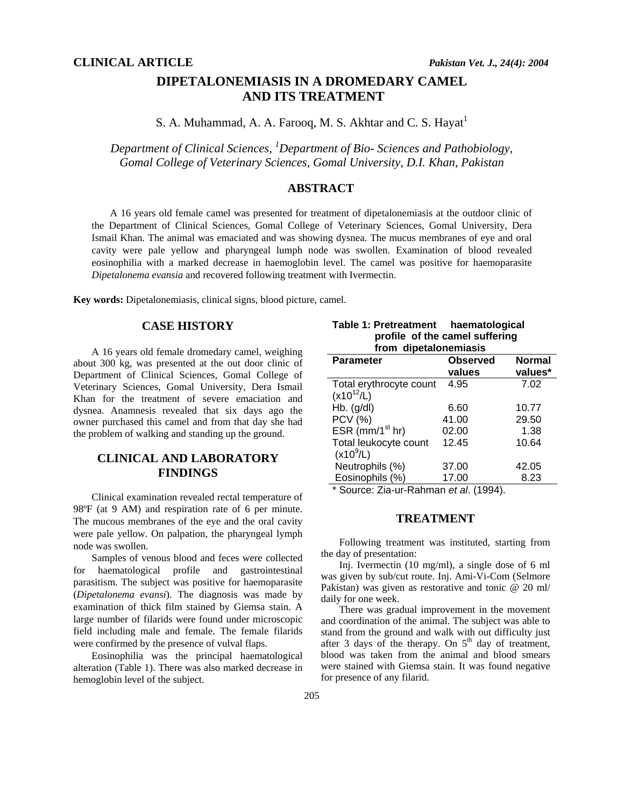# **DIPETALONEMIASIS IN A DROMEDARY CAMEL AND ITS TREATMENT**

S. A. Muhammad, A. A. Farooq, M. S. Akhtar and C. S. Hayat<sup>1</sup>

*Department of Clinical Sciences, 1 Department of Bio- Sciences and Pathobiology, Gomal College of Veterinary Sciences, Gomal University, D.I. Khan, Pakistan* 

### **ABSTRACT**

A 16 years old female camel was presented for treatment of dipetalonemiasis at the outdoor clinic of the Department of Clinical Sciences, Gomal College of Veterinary Sciences, Gomal University, Dera Ismail Khan. The animal was emaciated and was showing dysnea. The mucus membranes of eye and oral cavity were pale yellow and pharyngeal lumph node was swollen. Examination of blood revealed eosinophilia with a marked decrease in haemoglobin level. The camel was positive for haemoparasite *Dipetalonema evansia* and recovered following treatment with Ivermectin.

**Key words:** Dipetalonemiasis, clinical signs, blood picture, camel.

## **CASE HISTORY**

A 16 years old female dromedary camel, weighing about 300 kg, was presented at the out door clinic of Department of Clinical Sciences, Gomal College of Veterinary Sciences, Gomal University, Dera Ismail Khan for the treatment of severe emaciation and dysnea. Anamnesis revealed that six days ago the owner purchased this camel and from that day she had the problem of walking and standing up the ground.

## **CLINICAL AND LABORATORY FINDINGS**

Clinical examination revealed rectal temperature of 98ºF (at 9 AM) and respiration rate of 6 per minute. The mucous membranes of the eye and the oral cavity were pale yellow. On palpation, the pharyngeal lymph node was swollen.

Samples of venous blood and feces were collected for haematological profile and gastrointestinal parasitism. The subject was positive for haemoparasite (*Dipetalonema evansi*). The diagnosis was made by examination of thick film stained by Giemsa stain. A large number of filarids were found under microscopic field including male and female. The female filarids were confirmed by the presence of vulval flaps.

Eosinophilia was the principal haematological alteration (Table 1). There was also marked decrease in hemoglobin level of the subject.

|                       | Table 1: Pretreatment | haematological                 |
|-----------------------|-----------------------|--------------------------------|
|                       |                       | profile of the camel suffering |
| from dipetalonemiasis |                       |                                |

| <b>Parameter</b>        | <b>Observed</b> | <b>Normal</b> |
|-------------------------|-----------------|---------------|
|                         | values          | values*       |
| Total erythrocyte count | 4.95            | 7.02          |
| $(x10^{12}/L)$          |                 |               |
| $Hb.$ (g/dl)            | 6.60            | 10.77         |
| <b>PCV (%)</b>          | 41.00           | 29.50         |
| ESR ( $mm/1st$ hr)      | 02.00           | 1.38          |
| Total leukocyte count   | 12.45           | 10.64         |
| $(x10^{9}/L)$           |                 |               |
| Neutrophils (%)         | 37.00           | 42.05         |
| Eosinophils (%)         | 17.00           | 8.23          |

\* Source: Zia-ur-Rahman *et al*. (1994).

### **TREATMENT**

Following treatment was instituted, starting from the day of presentation:

Inj. Ivermectin (10 mg/ml), a single dose of 6 ml was given by sub/cut route. Inj. Ami-Vi-Com (Selmore Pakistan) was given as restorative and tonic @ 20 ml/ daily for one week.

There was gradual improvement in the movement and coordination of the animal. The subject was able to stand from the ground and walk with out difficulty just after 3 days of the therapy. On  $5<sup>th</sup>$  day of treatment, blood was taken from the animal and blood smears were stained with Giemsa stain. It was found negative for presence of any filarid.